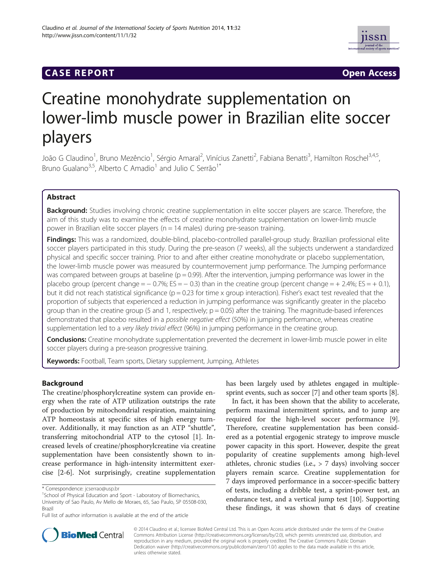# **CASE REPORT CASE ACCESS**



# Creatine monohydrate supplementation on lower-limb muscle power in Brazilian elite soccer players

João G Claudino<sup>1</sup>, Bruno Mezêncio<sup>1</sup>, Sérgio Amaral<sup>2</sup>, Vinícius Zanetti<sup>2</sup>, Fabiana Benatti<sup>3</sup>, Hamilton Roschel<sup>3,4,5</sup>, Bruno Gualano<sup>3,5</sup>, Alberto C Amadio<sup>1</sup> and Julio C Serrão<sup>1\*</sup>

# Abstract

Background: Studies involving chronic creatine supplementation in elite soccer players are scarce. Therefore, the aim of this study was to examine the effects of creatine monohydrate supplementation on lower-limb muscle power in Brazilian elite soccer players ( $n = 14$  males) during pre-season training.

Findings: This was a randomized, double-blind, placebo-controlled parallel-group study. Brazilian professional elite soccer players participated in this study. During the pre-season (7 weeks), all the subjects underwent a standardized physical and specific soccer training. Prior to and after either creatine monohydrate or placebo supplementation, the lower-limb muscle power was measured by countermovement jump performance. The Jumping performance was compared between groups at baseline ( $p = 0.99$ ). After the intervention, jumping performance was lower in the placebo group (percent change =  $-$  0.7%; ES =  $-$  0.3) than in the creatine group (percent change =  $+$  2.4%; ES =  $+$  0.1), but it did not reach statistical significance ( $p = 0.23$  for time x group interaction). Fisher's exact test revealed that the proportion of subjects that experienced a reduction in jumping performance was significantly greater in the placebo group than in the creatine group (5 and 1, respectively;  $p = 0.05$ ) after the training. The magnitude-based inferences demonstrated that placebo resulted in a possible negative effect (50%) in jumping performance, whereas creatine supplementation led to a very likely trivial effect (96%) in jumping performance in the creatine group.

Conclusions: Creatine monohydrate supplementation prevented the decrement in lower-limb muscle power in elite soccer players during a pre-season progressive training.

Keywords: Football, Team sports, Dietary supplement, Jumping, Athletes

# Background

The creatine/phosphorylcreatine system can provide energy when the rate of ATP utilization outstrips the rate of production by mitochondrial respiration, maintaining ATP homeostasis at specific sites of high energy turnover. Additionally, it may function as an ATP "shuttle", transferring mitochondrial ATP to the cytosol [\[1\]](#page-4-0). Increased levels of creatine/phosphorylcreatine via creatine supplementation have been consistently shown to increase performance in high-intensity intermittent exercise [\[2-6\]](#page-4-0). Not surprisingly, creatine supplementation has been largely used by athletes engaged in multiplesprint events, such as soccer [\[7](#page-4-0)] and other team sports [[8](#page-4-0)].

In fact, it has been shown that the ability to accelerate, perform maximal intermittent sprints, and to jump are required for the high-level soccer performance [\[9](#page-5-0)]. Therefore, creatine supplementation has been considered as a potential ergogenic strategy to improve muscle power capacity in this sport. However, despite the great popularity of creatine supplements among high-level athletes, chronic studies (i.e., > 7 days) involving soccer players remain scarce. Creatine supplementation for 7 days improved performance in a soccer-specific battery of tests, including a dribble test, a sprint-power test, an endurance test, and a vertical jump test [[10\]](#page-5-0). Supporting these findings, it was shown that 6 days of creatine



© 2014 Claudino et al.; licensee BioMed Central Ltd. This is an Open Access article distributed under the terms of the Creative Commons Attribution License [\(http://creativecommons.org/licenses/by/2.0\)](http://creativecommons.org/licenses/by/2.0), which permits unrestricted use, distribution, and reproduction in any medium, provided the original work is properly credited. The Creative Commons Public Domain Dedication waiver [\(http://creativecommons.org/publicdomain/zero/1.0/](http://creativecommons.org/publicdomain/zero/1.0/)) applies to the data made available in this article, unless otherwise stated.

<sup>\*</sup> Correspondence: [jcserrao@usp.br](mailto:jcserrao@usp.br) <sup>1</sup>

<sup>&</sup>lt;sup>1</sup>School of Physical Education and Sport - Laboratory of Biomechanics, University of Sao Paulo, Av Mello de Moraes, 65, Sao Paulo, SP 05508-030,

Brazil

Full list of author information is available at the end of the article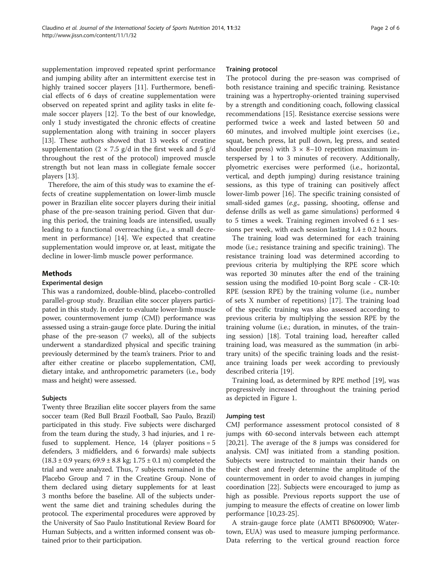supplementation improved repeated sprint performance and jumping ability after an intermittent exercise test in highly trained soccer players [\[11](#page-5-0)]. Furthermore, beneficial effects of 6 days of creatine supplementation were observed on repeated sprint and agility tasks in elite female soccer players [[12](#page-5-0)]. To the best of our knowledge, only 1 study investigated the chronic effects of creatine supplementation along with training in soccer players [[13\]](#page-5-0). These authors showed that 13 weeks of creatine supplementation  $(2 \times 7.5 \text{ g/d} \text{ in the first week and } 5 \text{ g/d} \text{)}$ throughout the rest of the protocol) improved muscle strength but not lean mass in collegiate female soccer players [\[13](#page-5-0)].

Therefore, the aim of this study was to examine the effects of creatine supplementation on lower-limb muscle power in Brazilian elite soccer players during their initial phase of the pre-season training period. Given that during this period, the training loads are intensified, usually leading to a functional overreaching (i.e., a small decrement in performance) [[14\]](#page-5-0). We expected that creatine supplementation would improve or, at least, mitigate the decline in lower-limb muscle power performance.

# Methods

# Experimental design

This was a randomized, double-blind, placebo-controlled parallel-group study. Brazilian elite soccer players participated in this study. In order to evaluate lower-limb muscle power, countermovement jump (CMJ) performance was assessed using a strain-gauge force plate. During the initial phase of the pre-season (7 weeks), all of the subjects underwent a standardized physical and specific training previously determined by the team's trainers. Prior to and after either creatine or placebo supplementation, CMJ, dietary intake, and anthropometric parameters (i.e., body mass and height) were assessed.

# Subjects

Twenty three Brazilian elite soccer players from the same soccer team (Red Bull Brazil Football, Sao Paulo, Brazil) participated in this study. Five subjects were discharged from the team during the study, 3 had injuries, and 1 refused to supplement. Hence, 14 (player positions = 5 defenders, 3 midfielders, and 6 forwards) male subjects  $(18.3 \pm 0.9 \text{ years}; 69.9 \pm 8.8 \text{ kg}; 1.75 \pm 0.1 \text{ m})$  completed the trial and were analyzed. Thus, 7 subjects remained in the Placebo Group and 7 in the Creatine Group. None of them declared using dietary supplements for at least 3 months before the baseline. All of the subjects underwent the same diet and training schedules during the protocol. The experimental procedures were approved by the University of Sao Paulo Institutional Review Board for Human Subjects, and a written informed consent was obtained prior to their participation.

#### Training protocol

The protocol during the pre-season was comprised of both resistance training and specific training. Resistance training was a hypertrophy-oriented training supervised by a strength and conditioning coach, following classical recommendations [\[15](#page-5-0)]. Resistance exercise sessions were performed twice a week and lasted between 50 and 60 minutes, and involved multiple joint exercises (i.e., squat, bench press, lat pull down, leg press, and seated shoulder press) with  $3 \times 8 - 10$  repetition maximum interspersed by 1 to 3 minutes of recovery. Additionally, plyometric exercises were performed (i.e., horizontal, vertical, and depth jumping) during resistance training sessions, as this type of training can positively affect lower-limb power [[16\]](#page-5-0). The specific training consisted of small-sided games (e.g., passing, shooting, offense and defense drills as well as game simulations) performed 4 to 5 times a week. Training regimen involved  $6 \pm 1$  sessions per week, with each session lasting  $1.4 \pm 0.2$  hours.

The training load was determined for each training mode (i.e.; resistance training and specific training). The resistance training load was determined according to previous criteria by multiplying the RPE score which was reported 30 minutes after the end of the training session using the modified 10-point Borg scale - CR-10: RPE (session RPE) by the training volume (i.e., number of sets X number of repetitions) [[17\]](#page-5-0). The training load of the specific training was also assessed according to previous criteria by multiplying the session RPE by the training volume (i.e.; duration, in minutes, of the training session) [\[18](#page-5-0)]. Total training load, hereafter called training load, was measured as the summation (in arbitrary units) of the specific training loads and the resistance training loads per week according to previously described criteria [\[19](#page-5-0)].

Training load, as determined by RPE method [\[19\]](#page-5-0), was progressively increased throughout the training period as depicted in Figure [1.](#page-2-0)

# Jumping test

CMJ performance assessment protocol consisted of 8 jumps with 60-second intervals between each attempt [[20,21\]](#page-5-0). The average of the 8 jumps was considered for analysis. CMJ was initiated from a standing position. Subjects were instructed to maintain their hands on their chest and freely determine the amplitude of the countermovement in order to avoid changes in jumping coordination [[22](#page-5-0)]. Subjects were encouraged to jump as high as possible. Previous reports support the use of jumping to measure the effects of creatine on lower limb performance [[10](#page-5-0),[23](#page-5-0)-[25\]](#page-5-0).

A strain-gauge force plate (AMTI BP600900; Watertown, EUA) was used to measure jumping performance. Data referring to the vertical ground reaction force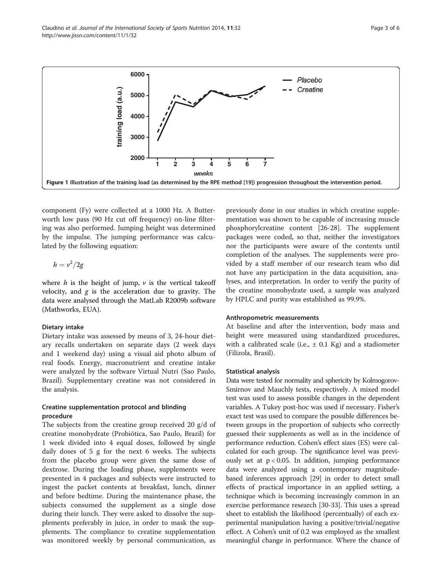component (Fy) were collected at a 1000 Hz. A Butterworth low pass (90 Hz cut off frequency) on-line filtering was also performed. Jumping height was determined by the impulse. The jumping performance was calculated by the following equation:

$$
h=\nu^2/2g
$$

where  $h$  is the height of jump,  $v$  is the vertical takeoff velocity, and  $g$  is the acceleration due to gravity. The data were analysed through the MatLab R2009b software (Mathworks, EUA).

#### Dietary intake

Dietary intake was assessed by means of 3, 24-hour dietary recalls undertaken on separate days (2 week days and 1 weekend day) using a visual aid photo album of real foods. Energy, macronutrient and creatine intake were analyzed by the software Virtual Nutri (Sao Paulo, Brazil). Supplementary creatine was not considered in the analysis.

# Creatine supplementation protocol and blinding procedure

The subjects from the creatine group received 20 g/d of creatine monohydrate (Probiótica, Sao Paulo, Brazil) for 1 week divided into 4 equal doses, followed by single daily doses of 5 g for the next 6 weeks. The subjects from the placebo group were given the same dose of dextrose. During the loading phase, supplements were presented in 4 packages and subjects were instructed to ingest the packet contents at breakfast, lunch, dinner and before bedtime. During the maintenance phase, the subjects consumed the supplement as a single dose during their lunch. They were asked to dissolve the supplements preferably in juice, in order to mask the supplements. The compliance to creatine supplementation was monitored weekly by personal communication, as

previously done in our studies in which creatine supplementation was shown to be capable of increasing muscle phosphorylcreatine content [[26-28\]](#page-5-0). The supplement packages were coded, so that, neither the investigators nor the participants were aware of the contents until completion of the analyses. The supplements were provided by a staff member of our research team who did not have any participation in the data acquisition, analyses, and interpretation. In order to verify the purity of the creatine monohydrate used, a sample was analyzed by HPLC and purity was established as 99.9%.

#### Anthropometric measurements

At baseline and after the intervention, body mass and height were measured using standardized procedures, with a calibrated scale (i.e.,  $\pm$  0.1 Kg) and a stadiometer (Filizola, Brasil).

#### Statistical analysis

Data were tested for normality and sphericity by Kolmogorov-Smirnov and Mauchly tests, respectively. A mixed model test was used to assess possible changes in the dependent variables. A Tukey post-hoc was used if necessary. Fisher's exact test was used to compare the possible differences between groups in the proportion of subjects who correctly guessed their supplements as well as in the incidence of performance reduction. Cohen's effect sizes (ES) were calculated for each group. The significance level was previously set at  $p < 0.05$ . In addition, jumping performance data were analyzed using a contemporary magnitudebased inferences approach [[29](#page-5-0)] in order to detect small effects of practical importance in an applied setting, a technique which is becoming increasingly common in an exercise performance research [[30-33\]](#page-5-0). This uses a spread sheet to establish the likelihood (percentually) of each experimental manipulation having a positive/trivial/negative effect. A Cohen's unit of 0.2 was employed as the smallest meaningful change in performance. Where the chance of

<span id="page-2-0"></span>

**6000**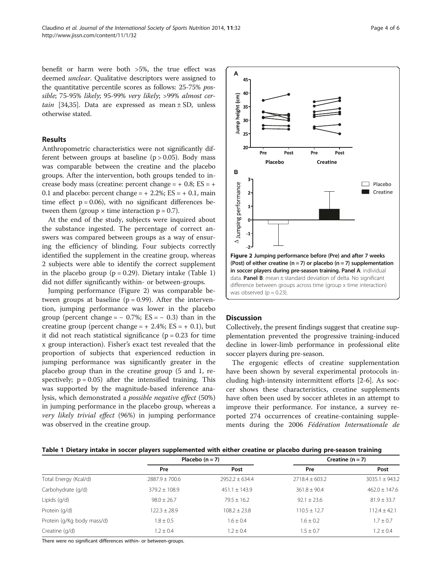benefit or harm were both >5%, the true effect was deemed unclear. Qualitative descriptors were assigned to the quantitative percentile scores as follows: 25-75% possible; 75-95% likely; 95-99% very likely; >99% almost cer-tain [[34,35\]](#page-5-0). Data are expressed as mean  $\pm$  SD, unless otherwise stated.

#### Results

Anthropometric characteristics were not significantly different between groups at baseline  $(p > 0.05)$ . Body mass was comparable between the creatine and the placebo groups. After the intervention, both groups tended to increase body mass (creatine: percent change  $= +0.8$ ; ES  $= +$ 0.1 and placebo: percent change =  $+ 2.2$ %; ES =  $+ 0.1$ , main time effect  $p = 0.06$ , with no significant differences between them (group  $\times$  time interaction  $p = 0.7$ ).

At the end of the study, subjects were inquired about the substance ingested. The percentage of correct answers was compared between groups as a way of ensuring the efficiency of blinding. Four subjects correctly identified the supplement in the creatine group, whereas 2 subjects were able to identify the correct supplement in the placebo group ( $p = 0.29$ ). Dietary intake (Table 1) did not differ significantly within- or between-groups.

Jumping performance (Figure 2) was comparable between groups at baseline  $(p = 0.99)$ . After the intervention, jumping performance was lower in the placebo group (percent change =  $-$  0.7%; ES =  $-$  0.3) than in the creatine group (percent change =  $+ 2.4\%$ ; ES =  $+ 0.1$ ), but it did not reach statistical significance  $(p = 0.23$  for time x group interaction). Fisher's exact test revealed that the proportion of subjects that experienced reduction in jumping performance was significantly greater in the placebo group than in the creatine group (5 and 1, respectively;  $p = 0.05$ ) after the intensified training. This was supported by the magnitude-based inference analysis, which demonstrated a possible negative effect (50%) in jumping performance in the placebo group, whereas a very likely trivial effect (96%) in jumping performance was observed in the creatine group.



# **Discussion**

Collectively, the present findings suggest that creatine supplementation prevented the progressive training-induced decline in lower-limb performance in professional elite soccer players during pre-season.

The ergogenic effects of creatine supplementation have been shown by several experimental protocols including high-intensity intermittent efforts [[2-6](#page-4-0)]. As soccer shows these characteristics, creatine supplements have often been used by soccer athletes in an attempt to improve their performance. For instance, a survey reported 274 occurrences of creatine-containing supplements during the 2006 Fédération Internationale de

| Table 1 Dietary intake in soccer players supplemented with either creatine or placebo during pre-season training |  |  |
|------------------------------------------------------------------------------------------------------------------|--|--|
|------------------------------------------------------------------------------------------------------------------|--|--|

|                            | Placebo $(n = 7)$  |                    | Creatine $(n = 7)$ |                    |
|----------------------------|--------------------|--------------------|--------------------|--------------------|
|                            | Pre                | Post               | Pre                | Post               |
| Total Energy (Kcal/d)      | $2887.9 \pm 700.6$ | $2952.2 \pm 634.4$ | $2718.4 \pm 603.2$ | $3035.1 \pm 943.2$ |
| Carbohydrate (g/d)         | $379.2 \pm 108.9$  | $451.1 \pm 143.9$  | $361.8 \pm 90.4$   | $462.0 \pm 147.6$  |
| Lipids (q/d)               | $98.0 \pm 26.7$    | $79.5 \pm 16.2$    | $92.1 \pm 23.6$    | $81.9 \pm 33.7$    |
| Protein (g/d)              | $122.3 \pm 28.9$   | $108.2 \pm 23.8$   | $110.5 \pm 12.7$   | $112.4 \pm 42.1$   |
| Protein (g/Kg body mass/d) | $1.8 \pm 0.5$      | $1.6 \pm 0.4$      | $1.6 \pm 0.2$      | $1.7 \pm 0.7$      |
| Creatine (q/d)             | $1.2 \pm 0.4$      | $1.2 \pm 0.4$      | $1.5 \pm 0.7$      | $1.2 \pm 0.4$      |

There were no significant differences within- or between-groups.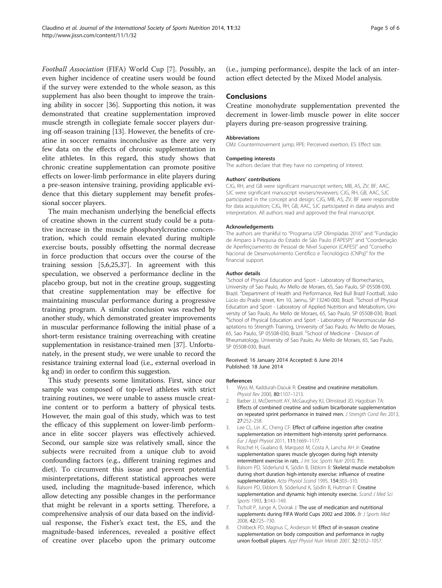<span id="page-4-0"></span>Football Association (FIFA) World Cup [7]. Possibly, an even higher incidence of creatine users would be found if the survey were extended to the whole season, as this supplement has also been thought to improve the training ability in soccer [\[36](#page-5-0)]. Supporting this notion, it was demonstrated that creatine supplementation improved muscle strength in collegiate female soccer players during off-season training [\[13](#page-5-0)]. However, the benefits of creatine in soccer remains inconclusive as there are very few data on the effects of chronic supplementation in elite athletes. In this regard, this study shows that chronic creatine supplementation can promote positive effects on lower-limb performance in elite players during a pre-season intensive training, providing applicable evidence that this dietary supplement may benefit professional soccer players.

The main mechanism underlying the beneficial effects of creatine shown in the current study could be a putative increase in the muscle phosphorylcreatine concentration, which could remain elevated during multiple exercise bouts, possibly offsetting the normal decrease in force production that occurs over the course of the training session [5,6,[25](#page-5-0),[37](#page-5-0)]. In agreement with this speculation, we observed a performance decline in the placebo group, but not in the creatine group, suggesting that creatine supplementation may be effective for maintaining muscular performance during a progressive training program. A similar conclusion was reached by another study, which demonstrated greater improvements in muscular performance following the initial phase of a short-term resistance training overreaching with creatine supplementation in resistance-trained men [[37](#page-5-0)]. Unfortunately, in the present study, we were unable to record the resistance training external load (i.e., external overload in kg and) in order to confirm this suggestion.

This study presents some limitations. First, since our sample was composed of top-level athletes with strict training routines, we were unable to assess muscle creatine content or to perform a battery of physical tests. However, the main goal of this study, which was to test the efficacy of this supplement on lower-limb performance in elite soccer players was effectively achieved. Second, our sample size was relatively small, since the subjects were recruited from a unique club to avoid confounding factors (e.g., different training regimes and diet). To circumvent this issue and prevent potential misinterpretations, different statistical approaches were used, including the magnitude-based inference, which allow detecting any possible changes in the performance that might be relevant in a sports setting. Therefore, a comprehensive analysis of our data based on the individual response, the Fisher's exact test, the ES, and the magnitude-based inferences, revealed a positive effect of creatine over placebo upon the primary outcome

(i.e., jumping performance), despite the lack of an interaction effect detected by the Mixed Model analysis.

## **Conclusions**

Creatine monohydrate supplementation prevented the decrement in lower-limb muscle power in elite soccer players during pre-season progressive training.

#### Abbreviations

CMJ: Countermovement jump; RPE: Perceived exertion; ES: Effect size.

#### Competing interests

The authors declare that they have no competing of interest.

#### Authors' contributions

CJG, RH, and GB were significant manuscript writers; MB, AS, ZV, BF, AAC, SJC were significant manuscript revisers/reviewers; CJG, RH, GB, AAC, SJC participated in the concept and design; CJG, MB, AS, ZV, BF were responsible for data acquisition; CJG, RH, GB, AAC, SJC participated in data analysis and interpretation. All authors read and approved the final manuscript.

#### Acknowledgements

The authors are thankful to "Programa USP Olimpíadas 2016" and "Fundação de Amparo à Pesquisa do Estado de São Paulo (FAPESP)" and "Coordenação de Aperfeiçoamento de Pessoal de Nível Superior (CAPES)" and "Conselho Nacional de Desenvolvimento Científico e Tecnológico (CNPq)" for the financial support.

#### Author details

<sup>1</sup>School of Physical Education and Sport - Laboratory of Biomechanics, University of Sao Paulo, Av Mello de Moraes, 65, Sao Paulo, SP 05508-030, Brazil. <sup>2</sup> Department of Health and Performance, Red Bull Brazil Football, João Lúcio do Prado street, Km 10, Jarinu, SP 13240-000, Brazil. <sup>3</sup>School of Physical Education and Sport - Laboratory of Applied Nutrition and Metabolism, University of Sao Paulo, Av Mello de Moraes, 65, Sao Paulo, SP 05508-030, Brazil. 4 School of Physical Education and Sport - Laboratory of Neuromuscular Adaptations to Strength Training, University of Sao Paulo, Av Mello de Moraes, 65, Sao Paulo, SP 05508-030, Brazil. <sup>5</sup>School of Medicine - Division of Rheumatology, University of Sao Paulo, Av Mello de Moraes, 65, Sao Paulo, SP 05508-030, Brazil.

#### Received: 16 January 2014 Accepted: 6 June 2014 Published: 18 June 2014

#### References

- 1. Wyss M, Kaddurah-Daouk R: Creatine and creatinine metabolism. Physiol Rev 2000, 80:1107–1213.
- 2. Barber JJ, McDermott AY, McGaughey KJ, Olmstead JD, Hagobian TA: Effects of combined creatine and sodium bicarbonate supplementation on repeated sprint performance in trained men. J Strength Cond Res 2013, 27:252–258.
- 3. Lee CL, Lin JC, Cheng CF: Effect of caffeine ingestion after creatine supplementation on intermittent high-intensity sprint performance. Eur J Appl Physiol 2011, 111:1669–1177.
- 4. Roschel H, Gualano B, Marquezi M, Costa A, Lancha AH Jr: Creatine supplementation spares muscle glycogen during high intensity intermittent exercise in rats. J Int Soc Sports Nutr 2010, 7:6.
- 5. Balsom PD, Söderlund K, Sjödin B, Ekblom B: Skeletal muscle metabolism during short duration high-intensity exercise: influence of creatine supplementation. Acta Physiol Scand 1995, 154:303-310.
- 6. Balsom PD, Ekblom B, Söderlund K, Sjödln B, Hultman E: Creatine supplementation and dynamic high intensity exercise. Scand J Med Sci Sports 1993, 3:143-149.
- 7. Tscholl P, Junge A, Dvorak J: The use of medication and nutritional supplements during FIFA World Cups 2002 and 2006. Br J Sports Med 2008, 42:725–730.
- 8. Chilibeck PD, Magnus C, Anderson M: Effect of in-season creatine supplementation on body composition and performance in rugby union football players. Appl Physiol Nutr Metab 2007, 32:1052-1057.